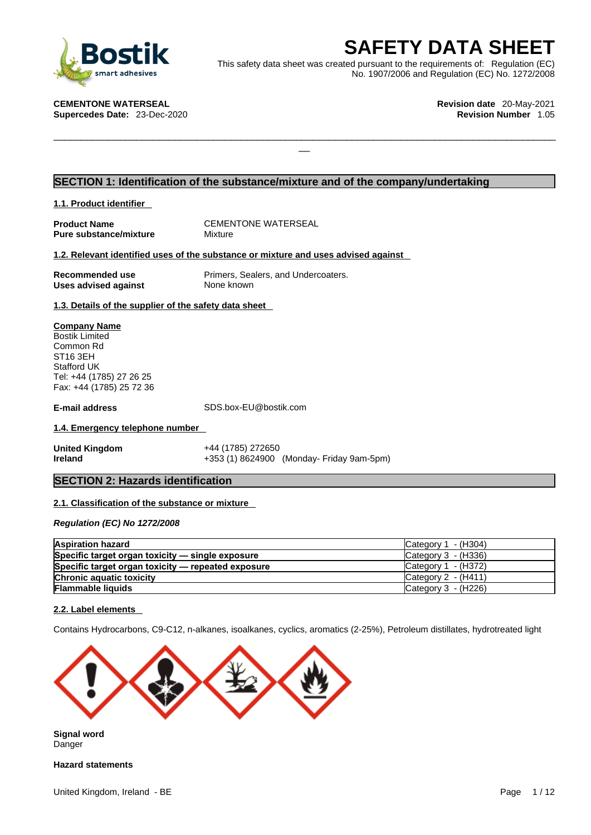

**SAFETY DATA SHEET**<br>
et was created pursuant to the requirements of: Regulation (EC)<br>
No. 1907/2006 and Regulation (EC) No. 1272/2008<br>
Revision date 20-May-2021<br>
Revision Number 1.05 This safety data sheet was created pursuant to the requirements of: Regulation (EC) No. 1907/2006 and Regulation (EC) No. 1272/2008

 $\Box$ 

**CEMENTONE WATERSEAL Revision date** 20-May-2021

**Supercedes Date: 23-Dec-2020** 

### **SECTION 1: Identification of the substance/mixture and of the company/undertaking**

**1.1. Product identifier** 

**Pure substance/mixture** 

**Product Name**<br> **Pure substance/mixture** Mixture Mixture

#### **1.2. Relevant identified uses of the substance or mixture and uses advised against**

**Uses advised against** None known

**Recommended use** Primers, Sealers, and Undercoaters.

**1.3. Details of the supplier of the safety data sheet**

**Company Name** Bostik Limited Common Rd ST16 3EH Stafford UK Tel: +44 (1785) 27 26 25 Fax: +44 (1785) 25 72 36

**E-mail address** SDS.box-EU@bostik.com

### **1.4. Emergency telephone number**

**United Kingdom** +44 (1785) 272650 **Ireland** +353 (1) 8624900 (Monday- Friday 9am-5pm)

### **SECTION 2: Hazards identification**

### **2.1. Classification of the substance or mixture**

*Regulation (EC) No 1272/2008* 

| <b>Aspiration hazard</b>                           | Category 1 - (H304)                    |
|----------------------------------------------------|----------------------------------------|
| Specific target organ toxicity - single exposure   | Category 3 - (H336)                    |
| Specific target organ toxicity — repeated exposure | Category $1 - (H372)$                  |
| <b>Chronic aquatic toxicity</b>                    | Category $2 - (H411)$                  |
| <b>Flammable liquids</b>                           | $\textsf{Category}3 - \textsf{(H226)}$ |

#### **2.2. Label elements**

Contains Hydrocarbons, C9-C12, n-alkanes, isoalkanes, cyclics, aromatics (2-25%), Petroleum distillates, hydrotreated light



**Signal word** Danger

**Hazard statements**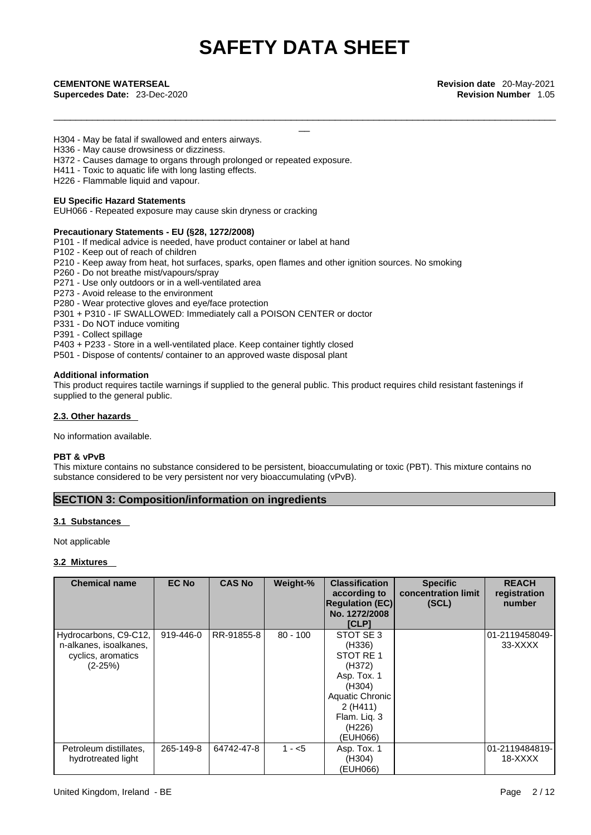\_\_\_\_\_\_\_\_\_\_\_\_\_\_\_\_\_\_\_\_\_\_\_\_\_\_\_\_\_\_\_\_\_\_\_\_\_\_\_\_\_\_\_\_\_\_\_\_\_\_\_\_\_\_\_\_\_\_\_\_\_\_\_\_\_\_\_\_\_\_\_\_\_\_\_\_\_\_\_\_\_\_\_\_\_\_\_\_\_\_\_

**Supercedes Date:** 23-Dec-2020 **Revision Number** 1.05

**CEMENTONE WATERSEAL Revision date** 20-May-2021<br> **Supercedes Date:** 23-Dec-2020<br> **CEMENTONE WATERSEAL Revision Number** 1.05<br> **CEMENTONE WATERSEAL**<br> **CEMENTONE WATERSEAL** 

H304 - May be fatal if swallowed and enters airways.

- H336 May cause drowsiness or dizziness.
- H372 Causes damage to organs through prolonged or repeated exposure.
- H411 Toxic to aquatic life with long lasting effects.

H226 - Flammable liquid and vapour.

#### **EU Specific Hazard Statements**

EUH066 - Repeated exposure may cause skin dryness or cracking

#### **Precautionary Statements - EU (§28, 1272/2008)**

- P101 If medical advice is needed, have product container or label at hand
- P102 Keep out of reach of children
- P210 Keep away from heat, hot surfaces, sparks, open flames and other ignition sources. No smoking
- P260 Do not breathe mist/vapours/spray
- P271 Use only outdoors or in a well-ventilated area
- P273 Avoid release to the environment
- P280 Wear protective gloves and eye/face protection
- P301 + P310 IF SWALLOWED: Immediately call a POISON CENTER or doctor
- P331 Do NOT induce vomiting
- P391 Collect spillage
- P403 + P233 Store in a well-ventilated place. Keep container tightly closed
- P501 Dispose of contents/ container to an approved waste disposal plant

#### **Additional information**

This product requires tactile warnings if supplied to the general public. This product requires child resistant fastenings if supplied to the general public.

#### **2.3. Other hazards**

No information available.

#### **PBT & vPvB**

This mixture contains no substance considered to be persistent, bioaccumulating or toxic (PBT). This mixture contains no substance considered to be very persistent nor very bioaccumulating (vPvB).

### **SECTION 3: Composition/information on ingredients**

#### **3.1 Substances**

Not applicable

#### **3.2 Mixtures**

| <b>Chemical name</b>                                                               | <b>EC No</b> | <b>CAS No</b> | Weight-%   | <b>Classification</b><br>according to<br><b>Regulation (EC)</b><br>No. 1272/2008<br>[CLP]                                               | <b>Specific</b><br>concentration limit<br>(SCL) | <b>REACH</b><br>registration<br>number |
|------------------------------------------------------------------------------------|--------------|---------------|------------|-----------------------------------------------------------------------------------------------------------------------------------------|-------------------------------------------------|----------------------------------------|
| Hydrocarbons, C9-C12,<br>n-alkanes, isoalkanes,<br>cyclics, aromatics<br>$(2-25%)$ | 919-446-0    | RR-91855-8    | $80 - 100$ | STOT SE 3<br>(H336)<br>STOT RE 1<br>(H372)<br>Asp. Tox. 1<br>(H304)<br>Aquatic Chronic<br>2(H411)<br>Flam. Lig. 3<br>(H226)<br>(EUH066) |                                                 | 01-2119458049-<br>33-XXXX              |
| Petroleum distillates,<br>hydrotreated light                                       | 265-149-8    | 64742-47-8    | $1 - 5$    | Asp. Tox. 1<br>(H304)<br>(EUH066)                                                                                                       |                                                 | 01-2119484819-<br>18-XXXX              |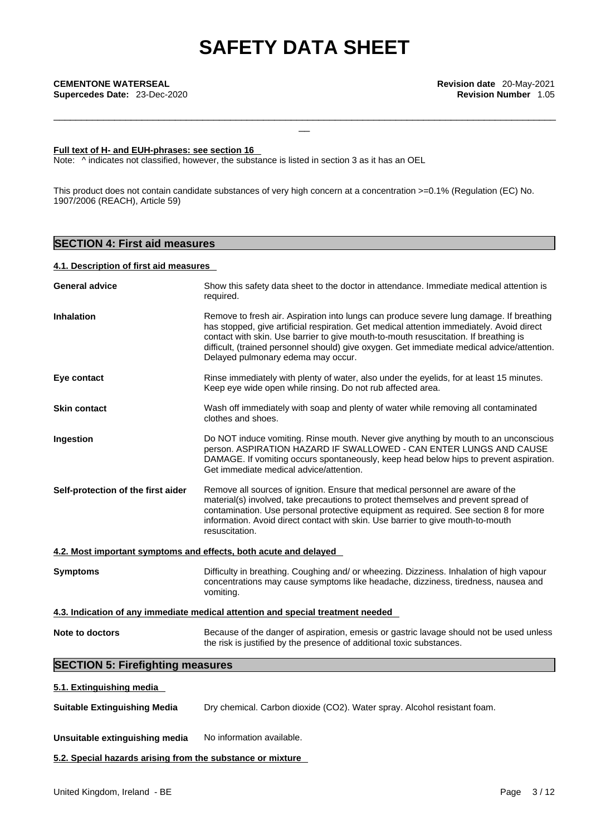\_\_\_\_\_\_\_\_\_\_\_\_\_\_\_\_\_\_\_\_\_\_\_\_\_\_\_\_\_\_\_\_\_\_\_\_\_\_\_\_\_\_\_\_\_\_\_\_\_\_\_\_\_\_\_\_\_\_\_\_\_\_\_\_\_\_\_\_\_\_\_\_\_\_\_\_\_\_\_\_\_\_\_\_\_\_\_\_\_\_\_

#### **Full text of H- and EUH-phrases: see section 16**

Note:  $\wedge$  indicates not classified, however, the substance is listed in section 3 as it has an OEL

This product does not contain candidate substances of very high concern at a concentration >=0.1% (Regulation (EC) No. 1907/2006 (REACH), Article 59)

### **SECTION 4: First aid measures**

#### **4.1. Description of first aid measures**

| <b>Inhalation</b><br>Remove to fresh air. Aspiration into lungs can produce severe lung damage. If breathing<br>has stopped, give artificial respiration. Get medical attention immediately. Avoid direct<br>contact with skin. Use barrier to give mouth-to-mouth resuscitation. If breathing is<br>difficult, (trained personnel should) give oxygen. Get immediate medical advice/attention.<br>Delayed pulmonary edema may occur.<br>Rinse immediately with plenty of water, also under the eyelids, for at least 15 minutes.<br>Eye contact<br>Keep eye wide open while rinsing. Do not rub affected area.<br>Wash off immediately with soap and plenty of water while removing all contaminated<br><b>Skin contact</b><br>clothes and shoes.<br>Ingestion<br>Do NOT induce vomiting. Rinse mouth. Never give anything by mouth to an unconscious<br>person. ASPIRATION HAZARD IF SWALLOWED - CAN ENTER LUNGS AND CAUSE<br>DAMAGE. If vomiting occurs spontaneously, keep head below hips to prevent aspiration.<br>Get immediate medical advice/attention.<br>Self-protection of the first aider<br>Remove all sources of ignition. Ensure that medical personnel are aware of the<br>material(s) involved, take precautions to protect themselves and prevent spread of<br>contamination. Use personal protective equipment as required. See section 8 for more<br>information. Avoid direct contact with skin. Use barrier to give mouth-to-mouth<br>resuscitation.<br>4.2. Most important symptoms and effects, both acute and delayed |
|-------------------------------------------------------------------------------------------------------------------------------------------------------------------------------------------------------------------------------------------------------------------------------------------------------------------------------------------------------------------------------------------------------------------------------------------------------------------------------------------------------------------------------------------------------------------------------------------------------------------------------------------------------------------------------------------------------------------------------------------------------------------------------------------------------------------------------------------------------------------------------------------------------------------------------------------------------------------------------------------------------------------------------------------------------------------------------------------------------------------------------------------------------------------------------------------------------------------------------------------------------------------------------------------------------------------------------------------------------------------------------------------------------------------------------------------------------------------------------------------------------------------------------------------------|
|                                                                                                                                                                                                                                                                                                                                                                                                                                                                                                                                                                                                                                                                                                                                                                                                                                                                                                                                                                                                                                                                                                                                                                                                                                                                                                                                                                                                                                                                                                                                                 |
|                                                                                                                                                                                                                                                                                                                                                                                                                                                                                                                                                                                                                                                                                                                                                                                                                                                                                                                                                                                                                                                                                                                                                                                                                                                                                                                                                                                                                                                                                                                                                 |
|                                                                                                                                                                                                                                                                                                                                                                                                                                                                                                                                                                                                                                                                                                                                                                                                                                                                                                                                                                                                                                                                                                                                                                                                                                                                                                                                                                                                                                                                                                                                                 |
|                                                                                                                                                                                                                                                                                                                                                                                                                                                                                                                                                                                                                                                                                                                                                                                                                                                                                                                                                                                                                                                                                                                                                                                                                                                                                                                                                                                                                                                                                                                                                 |
|                                                                                                                                                                                                                                                                                                                                                                                                                                                                                                                                                                                                                                                                                                                                                                                                                                                                                                                                                                                                                                                                                                                                                                                                                                                                                                                                                                                                                                                                                                                                                 |
|                                                                                                                                                                                                                                                                                                                                                                                                                                                                                                                                                                                                                                                                                                                                                                                                                                                                                                                                                                                                                                                                                                                                                                                                                                                                                                                                                                                                                                                                                                                                                 |
| Difficulty in breathing. Coughing and/ or wheezing. Dizziness. Inhalation of high vapour<br><b>Symptoms</b><br>concentrations may cause symptoms like headache, dizziness, tiredness, nausea and<br>vomiting.                                                                                                                                                                                                                                                                                                                                                                                                                                                                                                                                                                                                                                                                                                                                                                                                                                                                                                                                                                                                                                                                                                                                                                                                                                                                                                                                   |
| 4.3. Indication of any immediate medical attention and special treatment needed                                                                                                                                                                                                                                                                                                                                                                                                                                                                                                                                                                                                                                                                                                                                                                                                                                                                                                                                                                                                                                                                                                                                                                                                                                                                                                                                                                                                                                                                 |
| Note to doctors<br>Because of the danger of aspiration, emesis or gastric lavage should not be used unless<br>the risk is justified by the presence of additional toxic substances.                                                                                                                                                                                                                                                                                                                                                                                                                                                                                                                                                                                                                                                                                                                                                                                                                                                                                                                                                                                                                                                                                                                                                                                                                                                                                                                                                             |
| <b>SECTION 5: Firefighting measures</b>                                                                                                                                                                                                                                                                                                                                                                                                                                                                                                                                                                                                                                                                                                                                                                                                                                                                                                                                                                                                                                                                                                                                                                                                                                                                                                                                                                                                                                                                                                         |
| 5.1. Extinguishing media                                                                                                                                                                                                                                                                                                                                                                                                                                                                                                                                                                                                                                                                                                                                                                                                                                                                                                                                                                                                                                                                                                                                                                                                                                                                                                                                                                                                                                                                                                                        |

**Suitable Extinguishing Media** Dry chemical. Carbon dioxide (CO2). Water spray. Alcohol resistant foam.

**Unsuitable extinguishing media** No information available.

**5.2. Special hazards arising from the substance or mixture**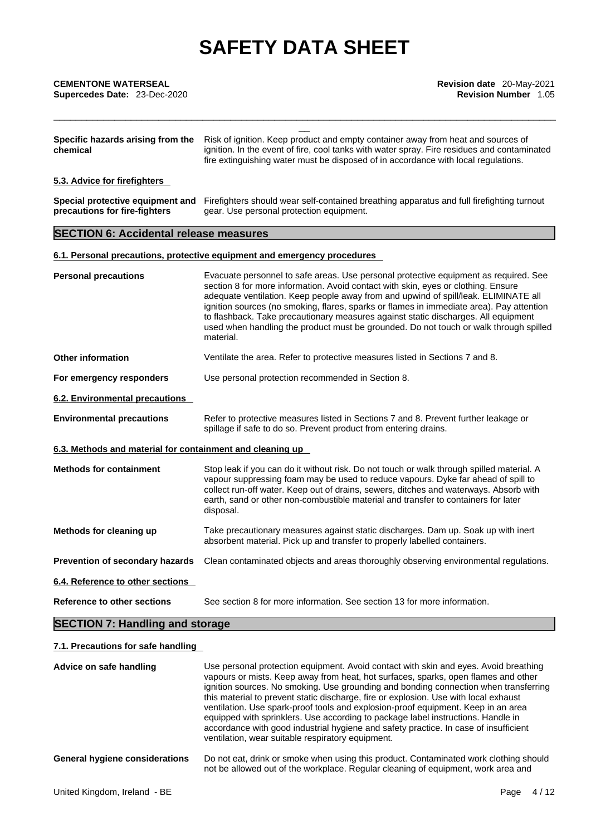| <b>CEMENTONE WATERSEAL</b><br>Supercedes Date: 23-Dec-2020        | Revision date 20-May-2021<br><b>Revision Number 1.05</b>                                                                                                                                                                                                                                                                                                                                                                                                                                                                                                 |
|-------------------------------------------------------------------|----------------------------------------------------------------------------------------------------------------------------------------------------------------------------------------------------------------------------------------------------------------------------------------------------------------------------------------------------------------------------------------------------------------------------------------------------------------------------------------------------------------------------------------------------------|
| Specific hazards arising from the<br>chemical                     | Risk of ignition. Keep product and empty container away from heat and sources of<br>ignition. In the event of fire, cool tanks with water spray. Fire residues and contaminated<br>fire extinguishing water must be disposed of in accordance with local regulations.                                                                                                                                                                                                                                                                                    |
| 5.3. Advice for firefighters                                      |                                                                                                                                                                                                                                                                                                                                                                                                                                                                                                                                                          |
| Special protective equipment and<br>precautions for fire-fighters | Firefighters should wear self-contained breathing apparatus and full firefighting turnout<br>gear. Use personal protection equipment.                                                                                                                                                                                                                                                                                                                                                                                                                    |
| <b>SECTION 6: Accidental release measures</b>                     |                                                                                                                                                                                                                                                                                                                                                                                                                                                                                                                                                          |
|                                                                   | 6.1. Personal precautions, protective equipment and emergency procedures                                                                                                                                                                                                                                                                                                                                                                                                                                                                                 |
| <b>Personal precautions</b>                                       | Evacuate personnel to safe areas. Use personal protective equipment as required. See<br>section 8 for more information. Avoid contact with skin, eyes or clothing. Ensure<br>adequate ventilation. Keep people away from and upwind of spill/leak. ELIMINATE all<br>ignition sources (no smoking, flares, sparks or flames in immediate area). Pay attention<br>to flashback. Take precautionary measures against static discharges. All equipment<br>used when handling the product must be grounded. Do not touch or walk through spilled<br>material. |
| <b>Other information</b>                                          | Ventilate the area. Refer to protective measures listed in Sections 7 and 8.                                                                                                                                                                                                                                                                                                                                                                                                                                                                             |
| For emergency responders                                          | Use personal protection recommended in Section 8.                                                                                                                                                                                                                                                                                                                                                                                                                                                                                                        |
| 6.2. Environmental precautions                                    |                                                                                                                                                                                                                                                                                                                                                                                                                                                                                                                                                          |
| <b>Environmental precautions</b>                                  | Refer to protective measures listed in Sections 7 and 8. Prevent further leakage or<br>spillage if safe to do so. Prevent product from entering drains.                                                                                                                                                                                                                                                                                                                                                                                                  |
| 6.3. Methods and material for containment and cleaning up         |                                                                                                                                                                                                                                                                                                                                                                                                                                                                                                                                                          |
| <b>Methods for containment</b>                                    | Stop leak if you can do it without risk. Do not touch or walk through spilled material. A<br>vapour suppressing foam may be used to reduce vapours. Dyke far ahead of spill to<br>collect run-off water. Keep out of drains, sewers, ditches and waterways. Absorb with<br>earth, sand or other non-combustible material and transfer to containers for later<br>disposal.                                                                                                                                                                               |
| Methods for cleaning up                                           | Take precautionary measures against static discharges. Dam up. Soak up with inert<br>absorbent material. Pick up and transfer to properly labelled containers.                                                                                                                                                                                                                                                                                                                                                                                           |
| Prevention of secondary hazards                                   | Clean contaminated objects and areas thoroughly observing environmental regulations.                                                                                                                                                                                                                                                                                                                                                                                                                                                                     |
| 6.4. Reference to other sections                                  |                                                                                                                                                                                                                                                                                                                                                                                                                                                                                                                                                          |
| <b>Reference to other sections</b>                                | See section 8 for more information. See section 13 for more information.                                                                                                                                                                                                                                                                                                                                                                                                                                                                                 |

## **7.1. Precautions for safe handling**

| Advice on safe handling               | Use personal protection equipment. Avoid contact with skin and eyes. Avoid breathing<br>vapours or mists. Keep away from heat, hot surfaces, sparks, open flames and other<br>ignition sources. No smoking. Use grounding and bonding connection when transferring<br>this material to prevent static discharge, fire or explosion. Use with local exhaust<br>ventilation. Use spark-proof tools and explosion-proof equipment. Keep in an area<br>equipped with sprinklers. Use according to package label instructions. Handle in<br>accordance with good industrial hygiene and safety practice. In case of insufficient<br>ventilation, wear suitable respiratory equipment. |
|---------------------------------------|----------------------------------------------------------------------------------------------------------------------------------------------------------------------------------------------------------------------------------------------------------------------------------------------------------------------------------------------------------------------------------------------------------------------------------------------------------------------------------------------------------------------------------------------------------------------------------------------------------------------------------------------------------------------------------|
| <b>General hygiene considerations</b> | Do not eat, drink or smoke when using this product. Contaminated work clothing should<br>not be allowed out of the workplace. Regular cleaning of equipment, work area and                                                                                                                                                                                                                                                                                                                                                                                                                                                                                                       |
|                                       |                                                                                                                                                                                                                                                                                                                                                                                                                                                                                                                                                                                                                                                                                  |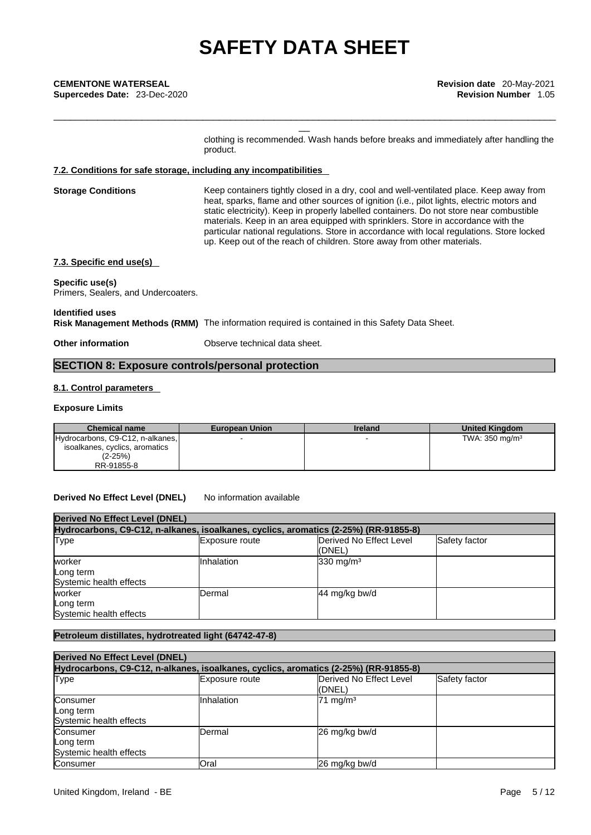**Supercedes Date:** 23-Dec-2020 **Revision Number** 1.05

clothing is recommended. Wash hands before breaks and immediately after handling the product.

\_\_\_\_\_\_\_\_\_\_\_\_\_\_\_\_\_\_\_\_\_\_\_\_\_\_\_\_\_\_\_\_\_\_\_\_\_\_\_\_\_\_\_\_\_\_\_\_\_\_\_\_\_\_\_\_\_\_\_\_\_\_\_\_\_\_\_\_\_\_\_\_\_\_\_\_\_\_\_\_\_\_\_\_\_\_\_\_\_\_\_

#### **7.2. Conditions for safe storage, including any incompatibilities**

**Storage Conditions** Keep containers tightly closed in a dry, cool and well-ventilated place. Keep away from heat, sparks, flame and other sources of ignition (i.e., pilot lights, electric motors and static electricity). Keep in properly labelled containers. Do not store near combustible materials. Keep in an area equipped with sprinklers. Store in accordance with the particular national regulations. Store in accordance with local regulations. Store locked up. Keep out of the reach of children. Store away from other materials.

#### **7.3. Specific end use(s)**

### **Specific use(s)**

Primers, Sealers, and Undercoaters.

#### **Identified uses Risk Management Methods (RMM)** The information required is contained in this Safety Data Sheet.

**Other information** Observe technical data sheet.

## **SECTION 8: Exposure controls/personal protection**

#### **8.1. Control parameters**

#### **Exposure Limits**

| <b>Chemical name</b>             | <b>European Union</b> | Ireland | <b>United Kingdom</b>     |
|----------------------------------|-----------------------|---------|---------------------------|
| Hydrocarbons, C9-C12, n-alkanes, |                       |         | TWA: $350 \text{ mg/m}^3$ |
| isoalkanes, cyclics, aromatics   |                       |         |                           |
| (2-25%)                          |                       |         |                           |
| RR-91855-8                       |                       |         |                           |

#### **Derived No Effect Level (DNEL)** No information available

| <b>Derived No Effect Level (DNEL)</b><br>Hydrocarbons, C9-C12, n-alkanes, isoalkanes, cyclics, aromatics (2-25%) (RR-91855-8) |               |                      |  |  |
|-------------------------------------------------------------------------------------------------------------------------------|---------------|----------------------|--|--|
|                                                                                                                               |               |                      |  |  |
| worker<br>Long term<br>Systemic health effects                                                                                | Inhalation    | $330 \text{ mg/m}^3$ |  |  |
| worker<br>Long term<br>Systemic health effects                                                                                | <b>Dermal</b> | 44 mg/kg bw/d        |  |  |

### **Petroleum distillates, hydrotreated light (64742-47-8)**

| <b>Derived No Effect Level (DNEL)</b><br>Hydrocarbons, C9-C12, n-alkanes, isoalkanes, cyclics, aromatics (2-25%) (RR-91855-8) |                |                     |  |  |  |
|-------------------------------------------------------------------------------------------------------------------------------|----------------|---------------------|--|--|--|
|                                                                                                                               |                |                     |  |  |  |
| Consumer<br>Long term<br>Systemic health effects                                                                              | IInhalation    | $71 \text{ mg/m}^3$ |  |  |  |
| Consumer<br>Long term<br>Systemic health effects                                                                              | <b>IDermal</b> | 26 mg/kg bw/d       |  |  |  |
| <b>Consumer</b>                                                                                                               | Oral           | 26 mg/kg bw/d       |  |  |  |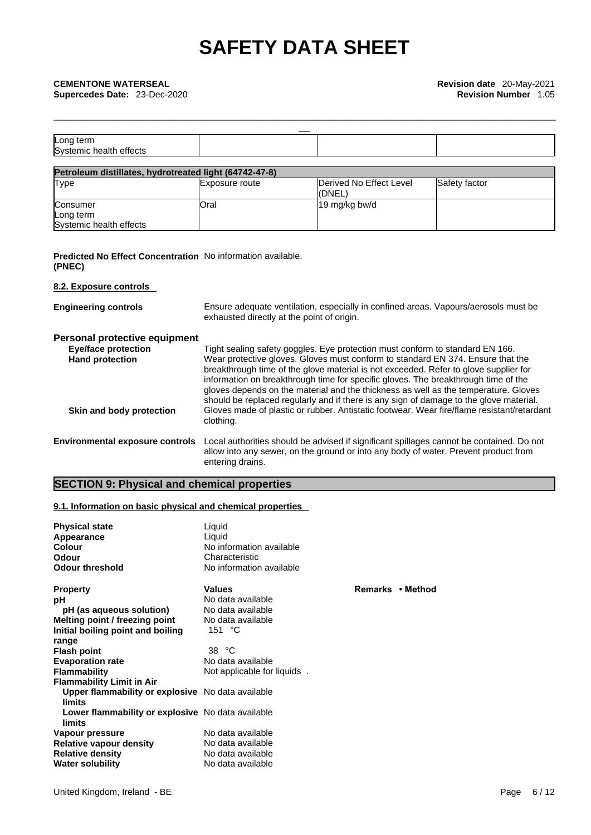|                                      | $\overline{\phantom{a}}$ |  |
|--------------------------------------|--------------------------|--|
| Long term<br>Systemic health effects |                          |  |
|                                      |                          |  |

\_\_\_\_\_\_\_\_\_\_\_\_\_\_\_\_\_\_\_\_\_\_\_\_\_\_\_\_\_\_\_\_\_\_\_\_\_\_\_\_\_\_\_\_\_\_\_\_\_\_\_\_\_\_\_\_\_\_\_\_\_\_\_\_\_\_\_\_\_\_\_\_\_\_\_\_\_\_\_\_\_\_\_\_\_\_\_\_\_\_\_

| Petroleum distillates, hydrotreated light (64742-47-8) |                |                                    |               |  |  |
|--------------------------------------------------------|----------------|------------------------------------|---------------|--|--|
| <b>Type</b>                                            | Exposure route | Derived No Effect Level<br>l(DNEL) | Safety factor |  |  |
| Consumer                                               | Oral           | 19 mg/kg bw/d                      |               |  |  |
| Long term                                              |                |                                    |               |  |  |
| Systemic health effects                                |                |                                    |               |  |  |

### **Predicted No Effect Concentration** No information available. **(PNEC)**

### **8.2. Exposure controls**

| <b>Engineering controls</b>                                                           | Ensure adequate ventilation, especially in confined areas. Vapours/aerosols must be<br>exhausted directly at the point of origin.                                                                                                                                                                                                                                                                                                                                                                                               |
|---------------------------------------------------------------------------------------|---------------------------------------------------------------------------------------------------------------------------------------------------------------------------------------------------------------------------------------------------------------------------------------------------------------------------------------------------------------------------------------------------------------------------------------------------------------------------------------------------------------------------------|
| Personal protective equipment<br><b>Eye/face protection</b><br><b>Hand protection</b> | Tight sealing safety goggles. Eye protection must conform to standard EN 166.<br>Wear protective gloves. Gloves must conform to standard EN 374. Ensure that the<br>breakthrough time of the glove material is not exceeded. Refer to glove supplier for<br>information on breakthrough time for specific gloves. The breakthrough time of the<br>gloves depends on the material and the thickness as well as the temperature. Gloves<br>should be replaced regularly and if there is any sign of damage to the glove material. |
| Skin and body protection                                                              | Gloves made of plastic or rubber. Antistatic footwear. Wear fire/flame resistant/retardant<br>clothing.                                                                                                                                                                                                                                                                                                                                                                                                                         |
| <b>Environmental exposure controls</b>                                                | Local authorities should be advised if significant spillages cannot be contained. Do not<br>allow into any sewer, on the ground or into any body of water. Prevent product from<br>entering drains.                                                                                                                                                                                                                                                                                                                             |

## **SECTION 9: Physical and chemical properties**

#### **9.1. Information on basic physical and chemical properties**

| <b>Physical state</b><br>Appearance<br>Colour<br>Odour<br><b>Odour threshold</b> | Liquid<br>Liquid<br>No information available<br>Characteristic<br>No information available |                  |
|----------------------------------------------------------------------------------|--------------------------------------------------------------------------------------------|------------------|
| <b>Property</b>                                                                  | <b>Values</b>                                                                              | Remarks • Method |
| рH                                                                               | No data available                                                                          |                  |
| pH (as aqueous solution)                                                         | No data available                                                                          |                  |
| Melting point / freezing point                                                   | No data available                                                                          |                  |
| Initial boiling point and boiling                                                | 151 $°C$                                                                                   |                  |
| range                                                                            |                                                                                            |                  |
| <b>Flash point</b>                                                               | 38 °C                                                                                      |                  |
| <b>Evaporation rate</b>                                                          | No data available                                                                          |                  |
| <b>Flammability</b>                                                              | Not applicable for liquids.                                                                |                  |
| <b>Flammability Limit in Air</b>                                                 |                                                                                            |                  |
| Upper flammability or explosive No data available<br>limits                      |                                                                                            |                  |
| Lower flammability or explosive No data available                                |                                                                                            |                  |
| limits                                                                           |                                                                                            |                  |
| Vapour pressure                                                                  | No data available                                                                          |                  |
| <b>Relative vapour density</b>                                                   | No data available                                                                          |                  |
| <b>Relative density</b>                                                          | No data available                                                                          |                  |
| <b>Water solubility</b>                                                          | No data available                                                                          |                  |

#### United Kingdom, Ireland - BE **Page 6 / 12** Page 6 / 12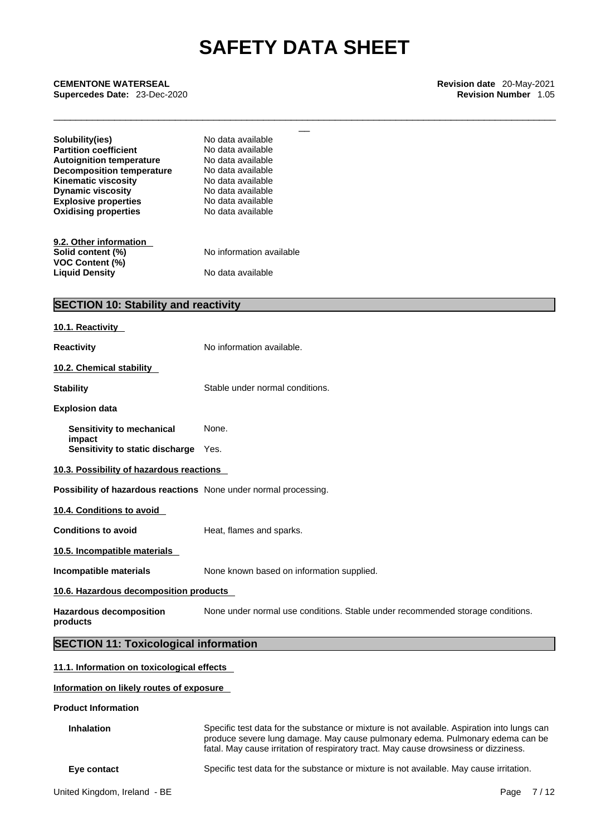\_\_\_\_\_\_\_\_\_\_\_\_\_\_\_\_\_\_\_\_\_\_\_\_\_\_\_\_\_\_\_\_\_\_\_\_\_\_\_\_\_\_\_\_\_\_\_\_\_\_\_\_\_\_\_\_\_\_\_\_\_\_\_\_\_\_\_\_\_\_\_\_\_\_\_\_\_\_\_\_\_\_\_\_\_\_\_\_\_\_\_

**CEMENTONE WATERSEAL Revision date** 20-May-2021<br> **Supercedes Date:** 23-Dec-2020<br> **CEMENTONE WATERSEAL Revision Number** 1.05<br> **CEMENTONE WATERSEAL**<br> **CEMENTONE WATERSEAL Supercedes Date:** 23-Dec-2020 **Revision Number** 1.05

| Solubility(ies)                             | No data available        |  |  |
|---------------------------------------------|--------------------------|--|--|
| <b>Partition coefficient</b>                | No data available        |  |  |
| <b>Autoignition temperature</b>             | No data available        |  |  |
| <b>Decomposition temperature</b>            | No data available        |  |  |
| <b>Kinematic viscosity</b>                  | No data available        |  |  |
| <b>Dynamic viscosity</b>                    | No data available        |  |  |
| <b>Explosive properties</b>                 | No data available        |  |  |
| <b>Oxidising properties</b>                 | No data available        |  |  |
|                                             |                          |  |  |
| 9.2. Other information                      |                          |  |  |
| Solid content (%)                           | No information available |  |  |
| <b>VOC Content (%)</b>                      |                          |  |  |
| <b>Liquid Density</b>                       | No data available        |  |  |
|                                             |                          |  |  |
| <b>SECTION 10: Stability and reactivity</b> |                          |  |  |
|                                             |                          |  |  |

| 10.1. Reactivity                                                 |                                                                                |
|------------------------------------------------------------------|--------------------------------------------------------------------------------|
| <b>Reactivity</b>                                                | No information available.                                                      |
| 10.2. Chemical stability                                         |                                                                                |
| <b>Stability</b>                                                 | Stable under normal conditions.                                                |
| <b>Explosion data</b>                                            |                                                                                |
| Sensitivity to mechanical                                        | None.                                                                          |
| impact<br>Sensitivity to static discharge Yes.                   |                                                                                |
| 10.3. Possibility of hazardous reactions                         |                                                                                |
| Possibility of hazardous reactions None under normal processing. |                                                                                |
| 10.4. Conditions to avoid                                        |                                                                                |
| <b>Conditions to avoid</b>                                       | Heat, flames and sparks.                                                       |
| 10.5. Incompatible materials                                     |                                                                                |
| Incompatible materials                                           | None known based on information supplied.                                      |
| 10.6. Hazardous decomposition products                           |                                                                                |
| <b>Hazardous decomposition</b><br>products                       | None under normal use conditions. Stable under recommended storage conditions. |
| <b>SECTION 11: Toxicological information</b>                     |                                                                                |
| 11.1. Information on toxicological effects                       |                                                                                |

#### **Information on likely routes of exposure**

**Product Information**

**Inhalation** Specific test data for the substance or mixture is not available. Aspiration into lungs can produce severe lung damage. May cause pulmonary edema. Pulmonary edema can be fatal. May cause irritation of respiratory tract. May cause drowsiness or dizziness.

**Eye contact** Specific test data for the substance or mixture is not available. May cause irritation.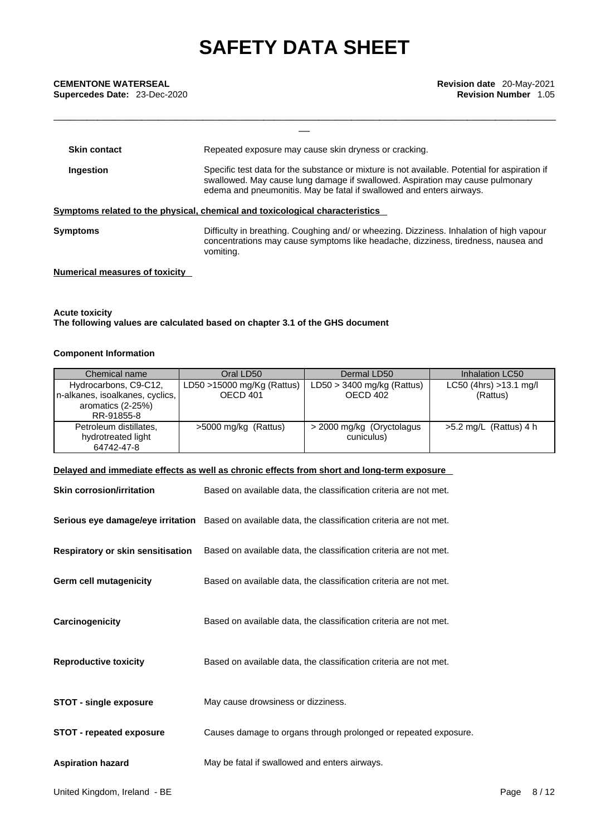**CEMENTONE WATERSEAL**<br> **Supercedes Date:** 23-Dec-2020 **Revision Number 1.05**<br> **Revision Number 1.05** 

| <b>CEMENTONE WATERSEAL</b><br>Supercedes Date: 23-Dec-2020 | <b>Revision date</b> 20-May-2021<br><b>Revision Number 1.05</b>                                                                                                                                                                                        |
|------------------------------------------------------------|--------------------------------------------------------------------------------------------------------------------------------------------------------------------------------------------------------------------------------------------------------|
|                                                            |                                                                                                                                                                                                                                                        |
|                                                            |                                                                                                                                                                                                                                                        |
| <b>Skin contact</b>                                        | Repeated exposure may cause skin dryness or cracking.                                                                                                                                                                                                  |
| Ingestion                                                  | Specific test data for the substance or mixture is not available. Potential for aspiration if<br>swallowed. May cause lung damage if swallowed. Aspiration may cause pulmonary<br>edema and pneumonitis. May be fatal if swallowed and enters airways. |
|                                                            | Symptoms related to the physical, chemical and toxicological characteristics                                                                                                                                                                           |
| <b>Symptoms</b>                                            | Difficulty in breathing. Coughing and/ or wheezing. Dizziness. Inhalation of high vapour<br>concentrations may cause symptoms like headache, dizziness, tiredness, nausea and<br>vomiting.                                                             |
|                                                            |                                                                                                                                                                                                                                                        |

#### **Numerical measures of toxicity**

#### **Acute toxicity The following values are calculated based on chapter 3.1 of the GHS document**

#### **Component Information**

| Chemical name                                                                               | Oral LD50                                | Dermal LD50                              | Inhalation LC50                    |
|---------------------------------------------------------------------------------------------|------------------------------------------|------------------------------------------|------------------------------------|
| Hydrocarbons, C9-C12,<br>n-alkanes, isoalkanes, cyclics,<br>aromatics (2-25%)<br>RR-91855-8 | LD50 $>15000$ mg/Kg (Rattus)<br>OECD 401 | $LD50 > 3400$ mg/kg (Rattus)<br>OECD 402 | LC50 (4hrs) >13.1 mg/l<br>(Rattus) |
| Petroleum distillates.<br>hydrotreated light<br>64742-47-8                                  | >5000 mg/kg (Rattus)                     | > 2000 mg/kg (Oryctolagus<br>cuniculus)  | $>5.2$ mg/L (Rattus) 4 h           |

#### **Delayed and immediate effects as well as chronic effects from short and long-term exposure**

| <b>Skin corrosion/irritation</b>         | Based on available data, the classification criteria are not met.                                   |
|------------------------------------------|-----------------------------------------------------------------------------------------------------|
|                                          | Serious eye damage/eye irritation Based on available data, the classification criteria are not met. |
| <b>Respiratory or skin sensitisation</b> | Based on available data, the classification criteria are not met.                                   |
| Germ cell mutagenicity                   | Based on available data, the classification criteria are not met.                                   |
| Carcinogenicity                          | Based on available data, the classification criteria are not met.                                   |
| <b>Reproductive toxicity</b>             | Based on available data, the classification criteria are not met.                                   |
| <b>STOT - single exposure</b>            | May cause drowsiness or dizziness.                                                                  |
| <b>STOT - repeated exposure</b>          | Causes damage to organs through prolonged or repeated exposure.                                     |
| <b>Aspiration hazard</b>                 | May be fatal if swallowed and enters airways.                                                       |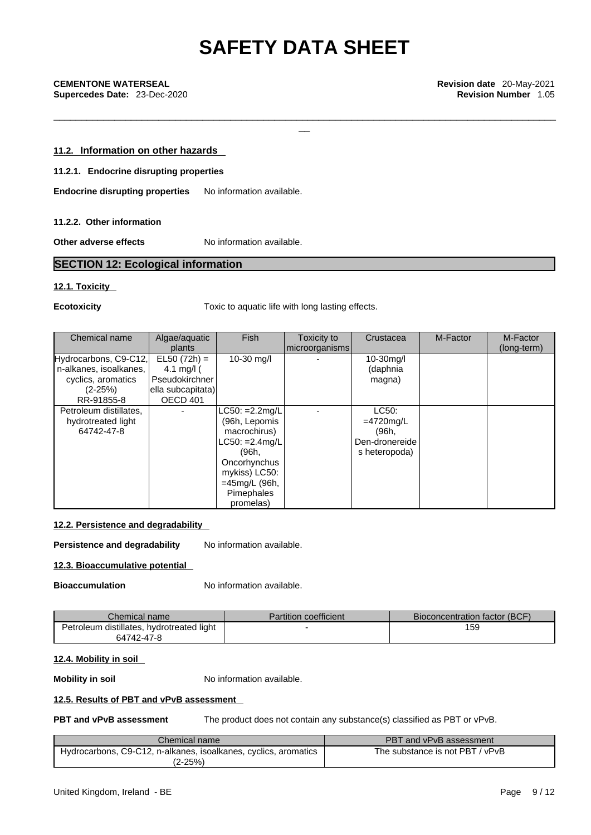\_\_\_\_\_\_\_\_\_\_\_\_\_\_\_\_\_\_\_\_\_\_\_\_\_\_\_\_\_\_\_\_\_\_\_\_\_\_\_\_\_\_\_\_\_\_\_\_\_\_\_\_\_\_\_\_\_\_\_\_\_\_\_\_\_\_\_\_\_\_\_\_\_\_\_\_\_\_\_\_\_\_\_\_\_\_\_\_\_\_\_

#### **11.2. Information on other hazards**

#### **11.2.1. Endocrine disrupting properties**

**Endocrine disrupting properties** No information available.

#### **11.2.2. Other information**

**Other adverse effects** No information available.

### **SECTION 12: Ecological information**

#### **12.1. Toxicity**

**Ecotoxicity Toxic to aquatic life with long lasting effects.** 

| Chemical name                                                                                    | Algae/aquatic<br>plants                                                           | <b>Fish</b>                                                                                                                                                  | Toxicity to<br>microorganisms | Crustacea                                                         | M-Factor | M-Factor<br>(long-term) |
|--------------------------------------------------------------------------------------------------|-----------------------------------------------------------------------------------|--------------------------------------------------------------------------------------------------------------------------------------------------------------|-------------------------------|-------------------------------------------------------------------|----------|-------------------------|
| Hydrocarbons, C9-C12,<br>n-alkanes, isoalkanes,<br>cyclics, aromatics<br>$(2-25%)$<br>RR-91855-8 | $EL50 (72h) =$<br>4.1 mg/l $($<br>Pseudokirchner<br>ella subcapitata)<br>OECD 401 | 10-30 mg/l                                                                                                                                                   |                               | $10-30$ mg/l<br>(daphnia<br>magna)                                |          |                         |
| Petroleum distillates,<br>hydrotreated light<br>64742-47-8                                       |                                                                                   | $LC50: =2.2mg/L$<br>(96h, Lepomis<br>macrochirus)<br>$LC50: =2.4$ mg/L<br>(96h,<br>Oncorhynchus<br>mykiss) LC50:<br>=45mg/L (96h,<br>Pimephales<br>promelas) |                               | LC50:<br>$=4720$ mg/L<br>(96h,<br>Den-dronereide<br>s heteropoda) |          |                         |

#### **12.2. Persistence and degradability**

**Persistence and degradability** No information available.

#### **12.3. Bioaccumulative potential**

**Bioaccumulation** No information available.

| Chemical name                             | <b>Partition coefficient</b> | Bioconcentration factor (BCF) |
|-------------------------------------------|------------------------------|-------------------------------|
| Petroleum distillates, hydrotreated light |                              | 159                           |
| 64742-47-8                                |                              |                               |

#### **12.4. Mobility in soil**

**Mobility in soil** No information available.

#### **12.5. Results of PBT and vPvB assessment**

**PBT and vPvB assessment** The product does not contain any substance(s) classified as PBT or vPvB.

| Chemical name                                                   | PBT and vPvB assessment         |
|-----------------------------------------------------------------|---------------------------------|
| Hydrocarbons, C9-C12, n-alkanes, isoalkanes, cyclics, aromatics | The substance is not PBT / vPvB |
| (2-25%)                                                         |                                 |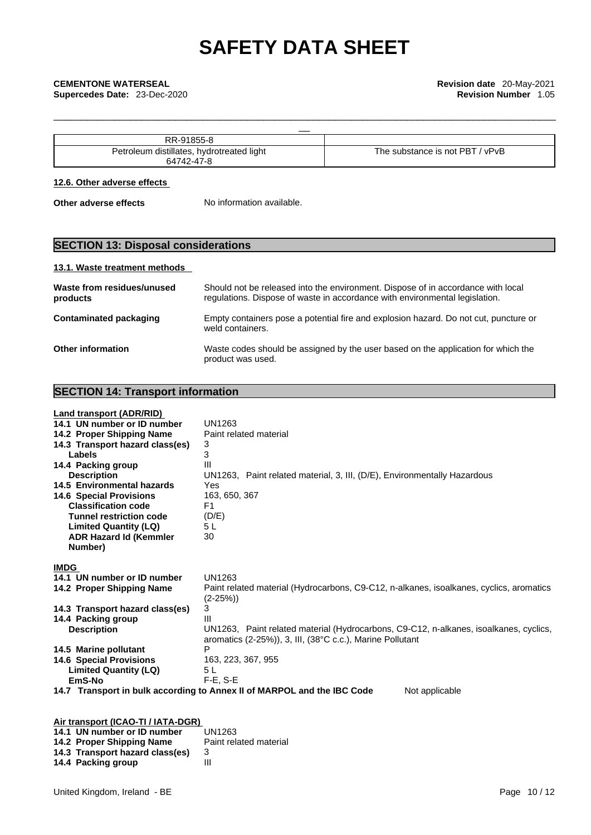| $$ -91855 $^{\circ}$<br>RR                                                       |                                                       |
|----------------------------------------------------------------------------------|-------------------------------------------------------|
| .<br>distillates<br>Peti<br>hydrotreated light<br>$\sim$<br>יםור<br>$\sim$<br>RΔ | not PBT د<br><b>vPvB</b><br>bstance is<br>' he<br>SUI |
|                                                                                  |                                                       |

\_\_\_\_\_\_\_\_\_\_\_\_\_\_\_\_\_\_\_\_\_\_\_\_\_\_\_\_\_\_\_\_\_\_\_\_\_\_\_\_\_\_\_\_\_\_\_\_\_\_\_\_\_\_\_\_\_\_\_\_\_\_\_\_\_\_\_\_\_\_\_\_\_\_\_\_\_\_\_\_\_\_\_\_\_\_\_\_\_\_\_

#### **12.6. Other adverse effects**

**Other adverse effects** No information available.

## **SECTION 13: Disposal considerations**

#### **13.1. Waste treatment methods**

| Waste from residues/unused<br>products | Should not be released into the environment. Dispose of in accordance with local<br>regulations. Dispose of waste in accordance with environmental legislation. |
|----------------------------------------|-----------------------------------------------------------------------------------------------------------------------------------------------------------------|
| <b>Contaminated packaging</b>          | Empty containers pose a potential fire and explosion hazard. Do not cut, puncture or<br>weld containers.                                                        |
| <b>Other information</b>               | Waste codes should be assigned by the user based on the application for which the<br>product was used.                                                          |

## **SECTION 14: Transport information**

### **Land transport (ADR/RID)**

| 14.1 UN number or ID number        | <b>UN1263</b>                                                                             |
|------------------------------------|-------------------------------------------------------------------------------------------|
| 14.2 Proper Shipping Name          | Paint related material                                                                    |
| 14.3 Transport hazard class(es)    | 3                                                                                         |
| Labels                             | 3                                                                                         |
| 14.4 Packing group                 | Ш                                                                                         |
| <b>Description</b>                 | UN1263, Paint related material, 3, III, (D/E), Environmentally Hazardous                  |
| 14.5 Environmental hazards         | Yes                                                                                       |
| <b>14.6 Special Provisions</b>     | 163, 650, 367                                                                             |
| <b>Classification code</b>         | F <sub>1</sub>                                                                            |
| <b>Tunnel restriction code</b>     | (D/E)                                                                                     |
| <b>Limited Quantity (LQ)</b>       | 5 L                                                                                       |
| <b>ADR Hazard Id (Kemmler</b>      | 30                                                                                        |
| Number)                            |                                                                                           |
|                                    |                                                                                           |
| <b>IMDG</b>                        |                                                                                           |
| 14.1 UN number or ID number        | UN1263                                                                                    |
| 14.2 Proper Shipping Name          | Paint related material (Hydrocarbons, C9-C12, n-alkanes, isoalkanes, cyclics, aromatics   |
|                                    | $(2-25%)$                                                                                 |
| 14.3 Transport hazard class(es)    | 3                                                                                         |
| 14.4 Packing group                 | Ш                                                                                         |
| <b>Description</b>                 | UN1263, Paint related material (Hydrocarbons, C9-C12, n-alkanes, isoalkanes, cyclics,     |
|                                    | aromatics (2-25%)), 3, III, (38°C c.c.), Marine Pollutant                                 |
| 14.5 Marine pollutant              | P                                                                                         |
| <b>14.6 Special Provisions</b>     | 163, 223, 367, 955                                                                        |
| <b>Limited Quantity (LQ)</b>       | 5 L                                                                                       |
| EmS-No                             | F-E, S-E                                                                                  |
|                                    | Not applicable<br>14.7 Transport in bulk according to Annex II of MARPOL and the IBC Code |
|                                    |                                                                                           |
|                                    |                                                                                           |
| Air transport (ICAO-TI / IATA-DGR) |                                                                                           |
| 14.1 UN number or ID number        | UN1263                                                                                    |
| 14.2 Proper Shipping Name          | Paint related material                                                                    |
| 14.3 Transport hazard class(es)    | 3                                                                                         |

**14.3 Transport hazard class(es)** 3 **14.4 Packing group** III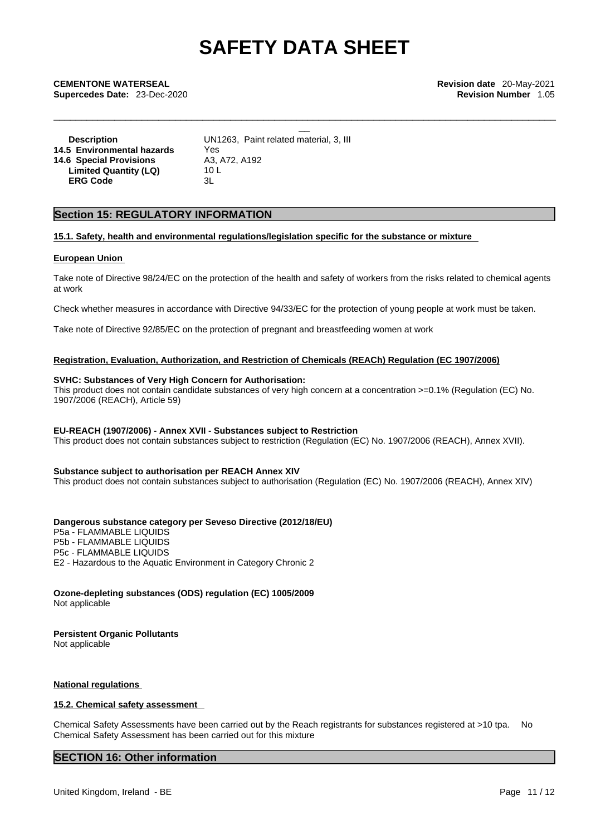\_\_\_\_\_\_\_\_\_\_\_\_\_\_\_\_\_\_\_\_\_\_\_\_\_\_\_\_\_\_\_\_\_\_\_\_\_\_\_\_\_\_\_\_\_\_\_\_\_\_\_\_\_\_\_\_\_\_\_\_\_\_\_\_\_\_\_\_\_\_\_\_\_\_\_\_\_\_\_\_\_\_\_\_\_\_\_\_\_\_\_

**CEMENTONE WATERSEAL Revision date** 20-May-2021<br> **Supercedes Date:** 23-Dec-2020<br> **CEMENTONE WATERSEAL Revision Number** 1.05<br> **CEMENTONE WATERSEAL**<br> **CEMENTONE WATERSEAL Supercedes Date:** 23-Dec-2020 **Revision Number** 1.05

**Description** UN1263, Paint related material, 3, III **14.5 Environmental hazards** Yes **14.6 Special Provisions** A3, A72, A192<br>**Limited Quantity (LQ)** 10 L **Limited Quantity (LQ) ERG Code** 3L

### **Section 15: REGULATORY INFORMATION**

#### **15.1. Safety, health and environmental regulations/legislation specific for the substance or mixture**

#### **European Union**

Take note of Directive 98/24/EC on the protection of the health and safety of workers from the risks related to chemical agents at work

Check whether measures in accordance with Directive 94/33/EC for the protection of young people at work must be taken.

Take note of Directive 92/85/EC on the protection of pregnant and breastfeeding women at work

#### **Registration, Evaluation, Authorization, and Restriction of Chemicals (REACh) Regulation (EC 1907/2006)**

#### **SVHC: Substances of Very High Concern for Authorisation:**

This product does not contain candidate substances of very high concern at a concentration >=0.1% (Regulation (EC) No. 1907/2006 (REACH), Article 59)

#### **EU-REACH (1907/2006) - Annex XVII - Substances subject to Restriction**

This product does not contain substances subject to restriction (Regulation (EC) No. 1907/2006 (REACH), Annex XVII).

#### **Substance subject to authorisation per REACH Annex XIV**

This product does not contain substances subject to authorisation (Regulation (EC) No. 1907/2006 (REACH), Annex XIV)

#### **Dangerous substance category per Seveso Directive (2012/18/EU)**

P5a - FLAMMABLE LIQUIDS P5b - FLAMMABLE LIQUIDS P5c - FLAMMABLE LIQUIDS E2 - Hazardous to the Aquatic Environment in Category Chronic 2

**Ozone-depleting substances (ODS) regulation (EC) 1005/2009** Not applicable

#### **Persistent Organic Pollutants**

Not applicable

#### **National regulations**

#### **15.2. Chemical safety assessment**

Chemical Safety Assessments have been carried out by the Reach registrants for substances registered at >10 tpa. No Chemical Safety Assessment has been carried out for this mixture

### **SECTION 16: Other information**